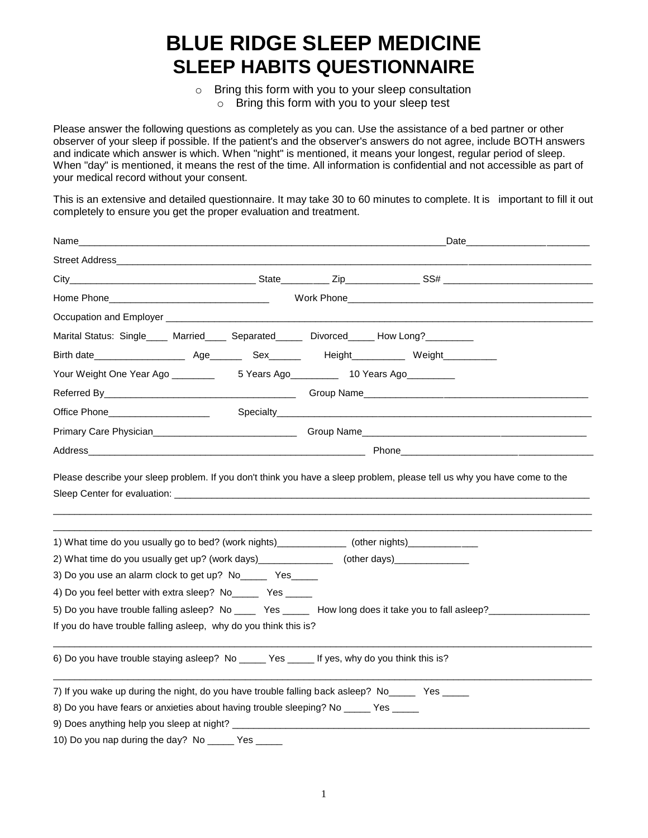# **BLUE RIDGE SLEEP MEDICINE SLEEP HABITS QUESTIONNAIRE**

o Bring this form with you to your sleep consultation o Bring this form with you to your sleep test

Please answer the following questions as completely as you can. Use the assistance of a bed partner or other observer of your sleep if possible. If the patient's and the observer's answers do not agree, include BOTH answers and indicate which answer is which. When "night" is mentioned, it means your longest, regular period of sleep. When "day" is mentioned, it means the rest of the time. All information is confidential and not accessible as part of your medical record without your consent.

This is an extensive and detailed questionnaire. It may take 30 to 60 minutes to complete. It is important to fill it out completely to ensure you get the proper evaluation and treatment.

| Name_                                                                                                                                                                                                       |  | Date <b>Date</b>                                                                                                                                                                                                                     |
|-------------------------------------------------------------------------------------------------------------------------------------------------------------------------------------------------------------|--|--------------------------------------------------------------------------------------------------------------------------------------------------------------------------------------------------------------------------------------|
|                                                                                                                                                                                                             |  |                                                                                                                                                                                                                                      |
|                                                                                                                                                                                                             |  |                                                                                                                                                                                                                                      |
|                                                                                                                                                                                                             |  |                                                                                                                                                                                                                                      |
|                                                                                                                                                                                                             |  |                                                                                                                                                                                                                                      |
| Marital Status: Single ____ Married____ Separated_____ Divorced_____ How Long?________                                                                                                                      |  |                                                                                                                                                                                                                                      |
|                                                                                                                                                                                                             |  |                                                                                                                                                                                                                                      |
| Your Weight One Year Ago __________  5 Years Ago ___________ 10 Years Ago ________                                                                                                                          |  |                                                                                                                                                                                                                                      |
|                                                                                                                                                                                                             |  |                                                                                                                                                                                                                                      |
| Office Phone______________________                                                                                                                                                                          |  |                                                                                                                                                                                                                                      |
|                                                                                                                                                                                                             |  |                                                                                                                                                                                                                                      |
|                                                                                                                                                                                                             |  | Address <b>and the contract of the contract of the contract of the contract of the contract of the contract of the contract of the contract of the contract of the contract of the contract of the contract of the contract of t</b> |
|                                                                                                                                                                                                             |  |                                                                                                                                                                                                                                      |
| 1) What time do you usually go to bed? (work nights)_______________ (other nights)_________________<br>2) What time do you usually get up? (work days)_________________ (other days)_______________________ |  |                                                                                                                                                                                                                                      |
| 3) Do you use an alarm clock to get up? No______ Yes_____                                                                                                                                                   |  |                                                                                                                                                                                                                                      |
| 4) Do you feel better with extra sleep? No______ Yes _____                                                                                                                                                  |  |                                                                                                                                                                                                                                      |
| 5) Do you have trouble falling asleep? No _____ Yes ______ How long does it take you to fall asleep? __________                                                                                             |  |                                                                                                                                                                                                                                      |
| If you do have trouble falling asleep, why do you think this is?                                                                                                                                            |  |                                                                                                                                                                                                                                      |
| 6) Do you have trouble staying asleep? No ______ Yes ______ If yes, why do you think this is?                                                                                                               |  |                                                                                                                                                                                                                                      |
| 7) If you wake up during the night, do you have trouble falling back asleep? No_____ Yes _____                                                                                                              |  |                                                                                                                                                                                                                                      |
| 8) Do you have fears or anxieties about having trouble sleeping? No _____ Yes _____                                                                                                                         |  |                                                                                                                                                                                                                                      |
|                                                                                                                                                                                                             |  |                                                                                                                                                                                                                                      |
| 10) Do you nap during the day? No ______ Yes __                                                                                                                                                             |  |                                                                                                                                                                                                                                      |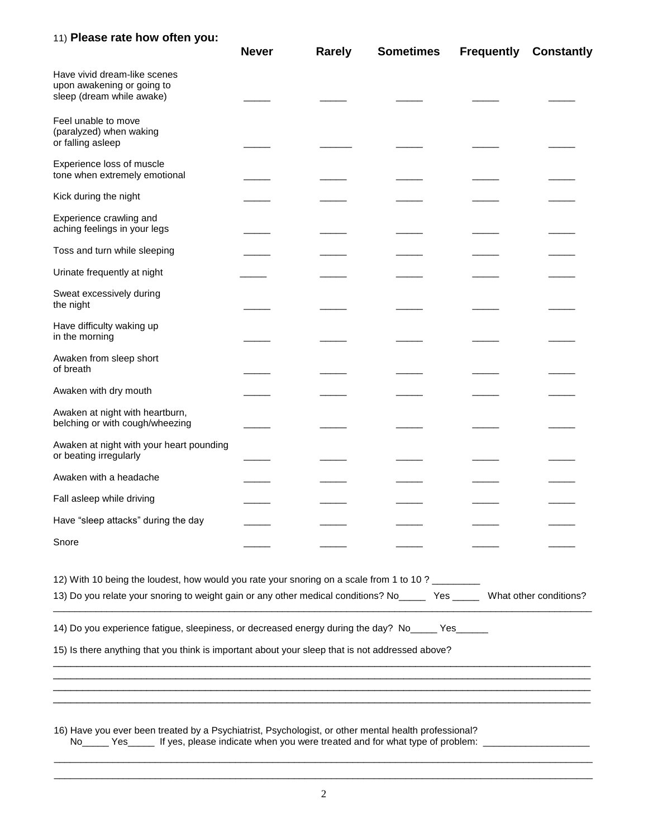#### 11) **Please rate how often you:**

|                                                                                                                                                                                                                    | <b>Never</b> | <b>Rarely</b> | <b>Sometimes</b> | <b>Frequently</b> | <b>Constantly</b> |
|--------------------------------------------------------------------------------------------------------------------------------------------------------------------------------------------------------------------|--------------|---------------|------------------|-------------------|-------------------|
| Have vivid dream-like scenes<br>upon awakening or going to<br>sleep (dream while awake)                                                                                                                            |              |               |                  |                   |                   |
| Feel unable to move<br>(paralyzed) when waking<br>or falling asleep                                                                                                                                                |              |               |                  |                   |                   |
| Experience loss of muscle<br>tone when extremely emotional                                                                                                                                                         |              |               |                  |                   |                   |
| Kick during the night                                                                                                                                                                                              |              |               |                  |                   |                   |
| Experience crawling and<br>aching feelings in your legs                                                                                                                                                            |              |               |                  |                   |                   |
| Toss and turn while sleeping                                                                                                                                                                                       |              |               |                  |                   |                   |
| Urinate frequently at night                                                                                                                                                                                        |              |               |                  |                   |                   |
| Sweat excessively during<br>the night                                                                                                                                                                              |              |               |                  |                   |                   |
| Have difficulty waking up<br>in the morning                                                                                                                                                                        |              |               |                  |                   |                   |
| Awaken from sleep short<br>of breath                                                                                                                                                                               |              |               |                  |                   |                   |
| Awaken with dry mouth                                                                                                                                                                                              |              |               |                  |                   |                   |
| Awaken at night with heartburn,<br>belching or with cough/wheezing                                                                                                                                                 |              |               |                  |                   |                   |
| Awaken at night with your heart pounding<br>or beating irregularly                                                                                                                                                 |              |               |                  |                   |                   |
| Awaken with a headache                                                                                                                                                                                             |              |               |                  |                   |                   |
| Fall asleep while driving                                                                                                                                                                                          |              |               |                  |                   |                   |
| Have "sleep attacks" during the day                                                                                                                                                                                |              |               |                  |                   |                   |
| Snore                                                                                                                                                                                                              |              |               |                  |                   |                   |
| 12) With 10 being the loudest, how would you rate your snoring on a scale from 1 to 10 ? ________<br>13) Do you relate your snoring to weight gain or any other medical conditions? Now Yes What other conditions? |              |               |                  |                   |                   |
| 14) Do you experience fatigue, sleepiness, or decreased energy during the day? No _____ Yes ______                                                                                                                 |              |               |                  |                   |                   |
| 15) Is there anything that you think is important about your sleep that is not addressed above?                                                                                                                    |              |               |                  |                   |                   |
|                                                                                                                                                                                                                    |              |               |                  |                   |                   |
|                                                                                                                                                                                                                    |              |               |                  |                   |                   |
| 16) Have you ever been treated by a Psychiatrist, Psychologist, or other mental health professional?<br>No<br>Yes If yes, please indicate when you were treated and for what type of problem:                      |              |               |                  |                   |                   |

\_\_\_\_\_\_\_\_\_\_\_\_\_\_\_\_\_\_\_\_\_\_\_\_\_\_\_\_\_\_\_\_\_\_\_\_\_\_\_\_\_\_\_\_\_\_\_\_\_\_\_\_\_\_\_\_\_\_\_\_\_\_\_\_\_\_\_\_\_\_\_\_\_\_\_\_\_\_\_\_\_\_\_\_\_\_\_\_\_\_\_\_\_\_\_\_\_\_\_\_\_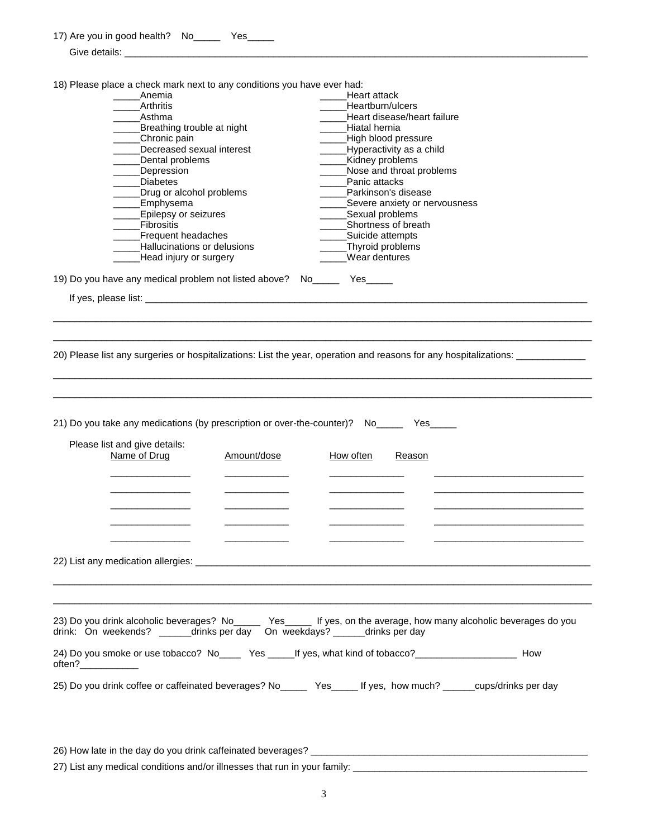|                     | 18) Please place a check mark next to any conditions you have ever had:  |             |                                                                                                                                                                                          |  |
|---------------------|--------------------------------------------------------------------------|-------------|------------------------------------------------------------------------------------------------------------------------------------------------------------------------------------------|--|
|                     | Anemia                                                                   |             | Heart attack                                                                                                                                                                             |  |
|                     | Arthritis                                                                |             | Heartburn/ulcers                                                                                                                                                                         |  |
|                     | Asthma                                                                   |             | Heart disease/heart failure                                                                                                                                                              |  |
|                     | ____Breathing trouble at night                                           |             | Hiatal hernia                                                                                                                                                                            |  |
|                     | _____Chronic pain<br>Decreased sexual interest                           |             | High blood pressure<br>Hyperactivity as a child                                                                                                                                          |  |
|                     | Dental problems                                                          |             | Kidney problems                                                                                                                                                                          |  |
|                     | __Depression                                                             |             | Nose and throat problems                                                                                                                                                                 |  |
|                     | <b>Diabetes</b>                                                          |             | Panic attacks                                                                                                                                                                            |  |
|                     | Drug or alcohol problems                                                 |             | Parkinson's disease                                                                                                                                                                      |  |
|                     | Emphysema                                                                |             | Severe anxiety or nervousness                                                                                                                                                            |  |
|                     | Epilepsy or seizures                                                     |             | Sexual problems                                                                                                                                                                          |  |
|                     | <b>Eibrositis</b>                                                        |             | Shortness of breath                                                                                                                                                                      |  |
|                     | ___Frequent headaches                                                    |             | Suicide attempts                                                                                                                                                                         |  |
|                     | Hallucinations or delusions                                              |             | __Thyroid problems                                                                                                                                                                       |  |
|                     | _____Head injury or surgery                                              |             | Wear dentures                                                                                                                                                                            |  |
|                     | 19) Do you have any medical problem not listed above? No_______ Yes_____ |             |                                                                                                                                                                                          |  |
|                     |                                                                          |             |                                                                                                                                                                                          |  |
|                     |                                                                          |             |                                                                                                                                                                                          |  |
|                     |                                                                          |             |                                                                                                                                                                                          |  |
|                     |                                                                          |             |                                                                                                                                                                                          |  |
|                     |                                                                          |             | 20) Please list any surgeries or hospitalizations: List the year, operation and reasons for any hospitalizations: _____________________                                                  |  |
|                     | Please list and give details:                                            |             | 21) Do you take any medications (by prescription or over-the-counter)? No_______ Yes______                                                                                               |  |
|                     | Name of Drug                                                             | Amount/dose | How often<br>Reason                                                                                                                                                                      |  |
|                     |                                                                          |             |                                                                                                                                                                                          |  |
|                     |                                                                          |             |                                                                                                                                                                                          |  |
|                     |                                                                          |             |                                                                                                                                                                                          |  |
|                     |                                                                          |             |                                                                                                                                                                                          |  |
|                     |                                                                          |             |                                                                                                                                                                                          |  |
|                     |                                                                          |             |                                                                                                                                                                                          |  |
|                     |                                                                          |             |                                                                                                                                                                                          |  |
|                     |                                                                          |             |                                                                                                                                                                                          |  |
|                     |                                                                          |             |                                                                                                                                                                                          |  |
|                     |                                                                          |             |                                                                                                                                                                                          |  |
|                     |                                                                          |             |                                                                                                                                                                                          |  |
|                     |                                                                          |             | 23) Do you drink alcoholic beverages? No<br>Yes Theys, on the average, how many alcoholic beverages do you<br>drink: On weekends? ______drinks per day On weekdays? ______drinks per day |  |
| often?_____________ |                                                                          |             | 24) Do you smoke or use tobacco? No____ Yes _____If yes, what kind of tobacco?____________________________ How                                                                           |  |

26) How late in the day do you drink caffeinated beverages? \_\_\_\_\_\_\_\_\_\_\_\_\_\_\_\_\_\_\_\_\_\_\_\_\_\_\_\_\_\_\_\_\_\_\_\_\_\_\_\_\_\_\_\_\_\_\_\_\_\_\_\_ 27) List any medical conditions and/or illnesses that run in your family: \_\_\_\_\_\_\_\_\_\_\_\_\_\_\_\_\_\_\_\_\_\_\_\_\_\_\_\_\_\_\_\_\_\_\_\_\_\_\_\_\_\_\_\_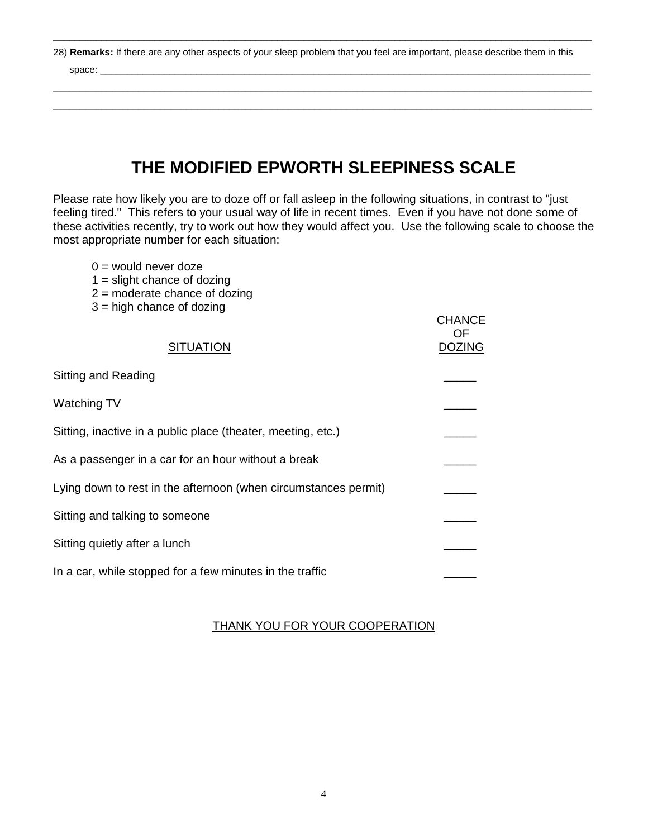28) **Remarks:** If there are any other aspects of your sleep problem that you feel are important, please describe them in this

\_\_\_\_\_\_\_\_\_\_\_\_\_\_\_\_\_\_\_\_\_\_\_\_\_\_\_\_\_\_\_\_\_\_\_\_\_\_\_\_\_\_\_\_\_\_\_\_\_\_\_\_\_\_\_\_\_\_\_\_\_\_\_\_\_\_\_\_\_\_\_\_\_\_\_\_\_\_\_\_\_\_\_\_\_\_\_\_\_\_\_\_\_\_\_\_\_\_\_\_\_

\_\_\_\_\_\_\_\_\_\_\_\_\_\_\_\_\_\_\_\_\_\_\_\_\_\_\_\_\_\_\_\_\_\_\_\_\_\_\_\_\_\_\_\_\_\_\_\_\_\_\_\_\_\_\_\_\_\_\_\_\_\_\_\_\_\_\_\_\_\_\_\_\_\_\_\_\_\_\_\_\_\_\_\_\_\_\_\_\_\_\_\_\_\_\_\_\_\_\_\_\_ \_\_\_\_\_\_\_\_\_\_\_\_\_\_\_\_\_\_\_\_\_\_\_\_\_\_\_\_\_\_\_\_\_\_\_\_\_\_\_\_\_\_\_\_\_\_\_\_\_\_\_\_\_\_\_\_\_\_\_\_\_\_\_\_\_\_\_\_\_\_\_\_\_\_\_\_\_\_\_\_\_\_\_\_\_\_\_\_\_\_\_\_\_\_\_\_\_\_\_\_\_

space: \_\_\_\_\_\_\_\_\_\_\_\_\_\_\_\_\_\_\_\_\_\_\_\_\_\_\_\_\_\_\_\_\_\_\_\_\_\_\_\_\_\_\_\_\_\_\_\_\_\_\_\_\_\_\_\_\_\_\_\_\_\_\_\_\_\_\_\_\_\_\_\_\_\_\_\_\_\_\_\_\_\_\_\_\_\_\_\_\_\_\_\_

## **THE MODIFIED EPWORTH SLEEPINESS SCALE**

Please rate how likely you are to doze off or fall asleep in the following situations, in contrast to "just feeling tired." This refers to your usual way of life in recent times. Even if you have not done some of these activities recently, try to work out how they would affect you. Use the following scale to choose the most appropriate number for each situation:

- $0 =$  would never doze
- $1 =$  slight chance of dozing
- 2 = moderate chance of dozing
- 3 = high chance of dozing

|                                                                 | <b>CHANCE</b><br>OF. |
|-----------------------------------------------------------------|----------------------|
| <b>SITUATION</b>                                                | <b>DOZING</b>        |
| Sitting and Reading                                             |                      |
| Watching TV                                                     |                      |
| Sitting, inactive in a public place (theater, meeting, etc.)    |                      |
| As a passenger in a car for an hour without a break             |                      |
| Lying down to rest in the afternoon (when circumstances permit) |                      |
| Sitting and talking to someone                                  |                      |
| Sitting quietly after a lunch                                   |                      |
| In a car, while stopped for a few minutes in the traffic        |                      |

#### THANK YOU FOR YOUR COOPERATION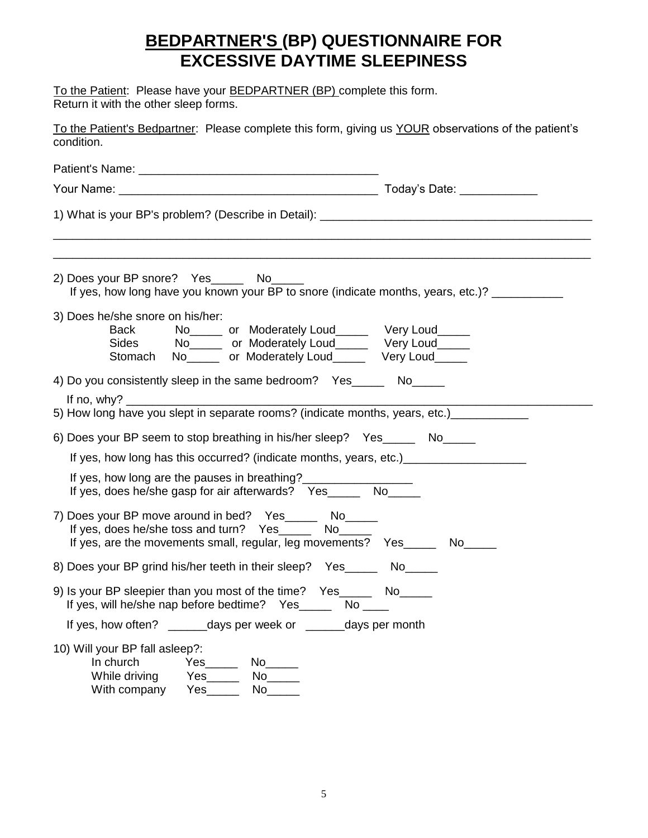### **BEDPARTNER'S (BP) QUESTIONNAIRE FOR EXCESSIVE DAYTIME SLEEPINESS**

To the Patient: Please have your **BEDPARTNER (BP)** complete this form. Return it with the other sleep forms.

| To the Patient's Bedpartner: Please complete this form, giving us YOUR observations of the patient's<br>condition.                                                                                                                                         |  |  |
|------------------------------------------------------------------------------------------------------------------------------------------------------------------------------------------------------------------------------------------------------------|--|--|
|                                                                                                                                                                                                                                                            |  |  |
|                                                                                                                                                                                                                                                            |  |  |
| 1) What is your BP's problem? (Describe in Detail): _____________________________                                                                                                                                                                          |  |  |
| 2) Does your BP snore? Yes_______ No______<br>If yes, how long have you known your BP to snore (indicate months, years, etc.)? ___________                                                                                                                 |  |  |
| 3) Does he/she snore on his/her:<br><b>Back</b><br>No <sub>_____</sub> or Moderately Loud______ Very Loud_____<br>Sides No <sub>_____</sub> or Moderately Loud______ Very Loud_____<br>Stomach No <sub>_____</sub> or Moderately Loud______ Very Loud_____ |  |  |
| 4) Do you consistently sleep in the same bedroom? Yes_______ No_____                                                                                                                                                                                       |  |  |
| 5) How long have you slept in separate rooms? (indicate months, years, etc.) __________                                                                                                                                                                    |  |  |
| 6) Does your BP seem to stop breathing in his/her sleep? Yes_______ No_____                                                                                                                                                                                |  |  |
| If yes, how long has this occurred? (indicate months, years, etc.)_______________                                                                                                                                                                          |  |  |
| If yes, how long are the pauses in breathing?<br>If yes, does he/she gasp for air afterwards? Yes_______ No______                                                                                                                                          |  |  |
| 7) Does your BP move around in bed? Yes_______ No______<br>If yes, does he/she toss and turn? Yes________ No______<br>If yes, are the movements small, regular, leg movements? Yes_______ No_____                                                          |  |  |
| 8) Does your BP grind his/her teeth in their sleep? Yes _______ No                                                                                                                                                                                         |  |  |
| 9) Is your BP sleepier than you most of the time? Yes_______ No__<br>If yes, will he/she nap before bedtime? Yes_______ No ____                                                                                                                            |  |  |
| If yes, how often? _______days per week or _______days per month                                                                                                                                                                                           |  |  |
| 10) Will your BP fall asleep?:<br>In church<br>While driving<br>With company Yes                                                                                                                                                                           |  |  |